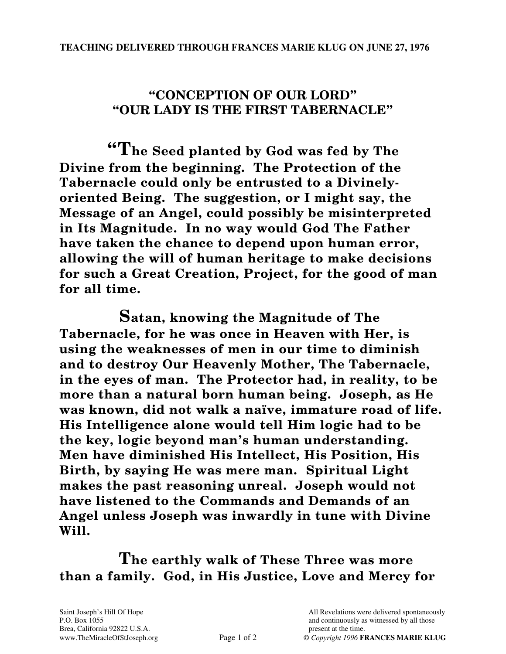## **"CONCEPTION OF OUR LORD" "OUR LADY IS THE FIRST TABERNACLE"**

**"The Seed planted by God was fed by The Divine from the beginning. The Protection of the Tabernacle could only be entrusted to a Divinelyoriented Being. The suggestion, or I might say, the Message of an Angel, could possibly be misinterpreted in Its Magnitude. In no way would God The Father have taken the chance to depend upon human error, allowing the will of human heritage to make decisions for such a Great Creation, Project, for the good of man for all time.** 

**Satan, knowing the Magnitude of The Tabernacle, for he was once in Heaven with Her, is using the weaknesses of men in our time to diminish and to destroy Our Heavenly Mother, The Tabernacle, in the eyes of man. The Protector had, in reality, to be more than a natural born human being. Joseph, as He was known, did not walk a naïve, immature road of life. His Intelligence alone would tell Him logic had to be the key, logic beyond man's human understanding. Men have diminished His Intellect, His Position, His Birth, by saying He was mere man. Spiritual Light makes the past reasoning unreal. Joseph would not have listened to the Commands and Demands of an Angel unless Joseph was inwardly in tune with Divine Will.** 

**The earthly walk of These Three was more than a family. God, in His Justice, Love and Mercy for** 

Brea, California 92822 U.S.A. present at the time.

Saint Joseph's Hill Of Hope All Revelations were delivered spontaneously P.O. Box 1055 and continuously as witnessed by all those properties and continuously as witnessed by all those www.TheMiracleOfStJoseph.org Page 1 of 2 © *Copyright 1996* **FRANCES MARIE KLUG**